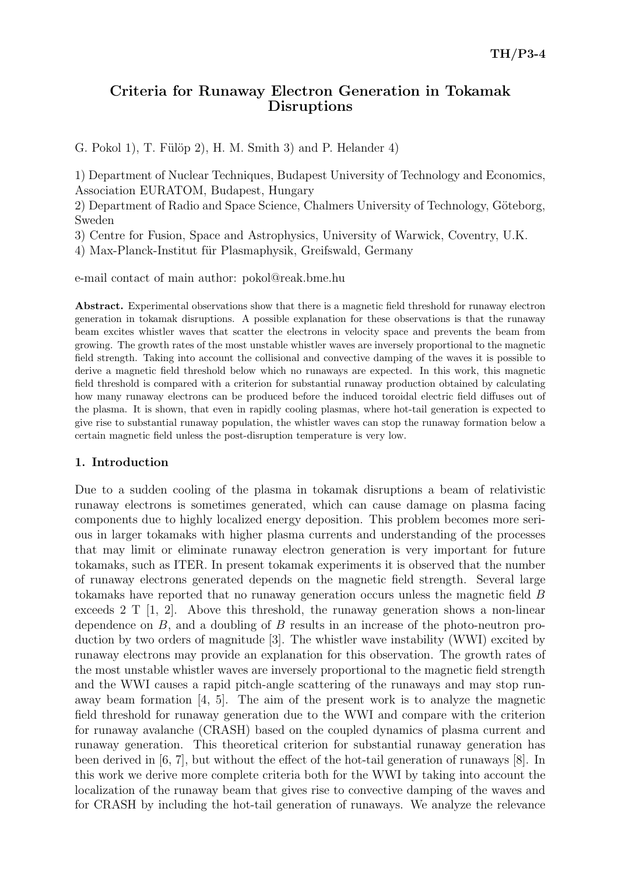# Criteria for Runaway Electron Generation in Tokamak Disruptions

G. Pokol 1), T. Fülöp 2), H. M. Smith 3) and P. Helander  $4$ )

1) Department of Nuclear Techniques, Budapest University of Technology and Economics, Association EURATOM, Budapest, Hungary

2) Department of Radio and Space Science, Chalmers University of Technology, Göteborg, Sweden

3) Centre for Fusion, Space and Astrophysics, University of Warwick, Coventry, U.K.

4) Max-Planck-Institut für Plasmaphysik, Greifswald, Germany

e-mail contact of main author: pokol@reak.bme.hu

Abstract. Experimental observations show that there is a magnetic field threshold for runaway electron generation in tokamak disruptions. A possible explanation for these observations is that the runaway beam excites whistler waves that scatter the electrons in velocity space and prevents the beam from growing. The growth rates of the most unstable whistler waves are inversely proportional to the magnetic field strength. Taking into account the collisional and convective damping of the waves it is possible to derive a magnetic field threshold below which no runaways are expected. In this work, this magnetic field threshold is compared with a criterion for substantial runaway production obtained by calculating how many runaway electrons can be produced before the induced toroidal electric field diffuses out of the plasma. It is shown, that even in rapidly cooling plasmas, where hot-tail generation is expected to give rise to substantial runaway population, the whistler waves can stop the runaway formation below a certain magnetic field unless the post-disruption temperature is very low.

#### 1. Introduction

Due to a sudden cooling of the plasma in tokamak disruptions a beam of relativistic runaway electrons is sometimes generated, which can cause damage on plasma facing components due to highly localized energy deposition. This problem becomes more serious in larger tokamaks with higher plasma currents and understanding of the processes that may limit or eliminate runaway electron generation is very important for future tokamaks, such as ITER. In present tokamak experiments it is observed that the number of runaway electrons generated depends on the magnetic field strength. Several large tokamaks have reported that no runaway generation occurs unless the magnetic field B exceeds 2 T  $[1, 2]$ . Above this threshold, the runaway generation shows a non-linear dependence on B, and a doubling of B results in an increase of the photo-neutron production by two orders of magnitude [3]. The whistler wave instability (WWI) excited by runaway electrons may provide an explanation for this observation. The growth rates of the most unstable whistler waves are inversely proportional to the magnetic field strength and the WWI causes a rapid pitch-angle scattering of the runaways and may stop runaway beam formation [4, 5]. The aim of the present work is to analyze the magnetic field threshold for runaway generation due to the WWI and compare with the criterion for runaway avalanche (CRASH) based on the coupled dynamics of plasma current and runaway generation. This theoretical criterion for substantial runaway generation has been derived in [6, 7], but without the effect of the hot-tail generation of runaways [8]. In this work we derive more complete criteria both for the WWI by taking into account the localization of the runaway beam that gives rise to convective damping of the waves and for CRASH by including the hot-tail generation of runaways. We analyze the relevance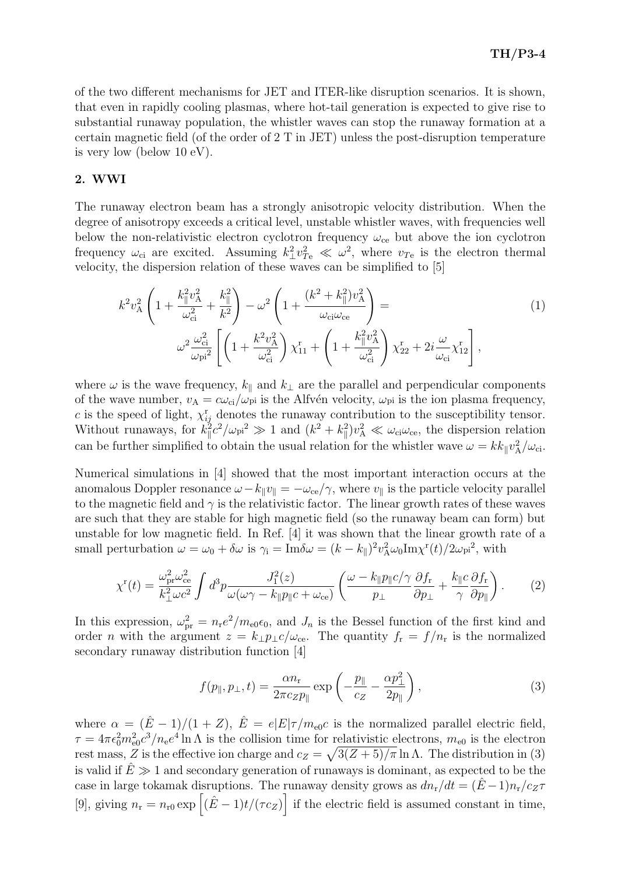of the two different mechanisms for JET and ITER-like disruption scenarios. It is shown, that even in rapidly cooling plasmas, where hot-tail generation is expected to give rise to substantial runaway population, the whistler waves can stop the runaway formation at a certain magnetic field (of the order of 2 T in JET) unless the post-disruption temperature is very low (below 10 eV).

### 2. WWI

The runaway electron beam has a strongly anisotropic velocity distribution. When the degree of anisotropy exceeds a critical level, unstable whistler waves, with frequencies well below the non-relativistic electron cyclotron frequency  $\omega_{ce}$  but above the ion cyclotron frequency  $\omega_{ci}$  are excited. Assuming  $k_{\perp}^2 v_{Te}^2 \ll \omega^2$ , where  $v_{Te}$  is the electron thermal velocity, the dispersion relation of these waves can be simplified to [5]

$$
k^{2}v_{A}^{2}\left(1+\frac{k_{\parallel}^{2}v_{A}^{2}}{\omega_{ci}^{2}}+\frac{k_{\parallel}^{2}}{k^{2}}\right)-\omega^{2}\left(1+\frac{(k^{2}+k_{\parallel}^{2})v_{A}^{2}}{\omega_{ci}\omega_{ce}}\right)=
$$
\n
$$
\omega^{2}\frac{\omega_{ci}^{2}}{\omega_{pi}^{2}}\left[\left(1+\frac{k^{2}v_{A}^{2}}{\omega_{ci}^{2}}\right)\chi_{11}^{r}+\left(1+\frac{k_{\parallel}^{2}v_{A}^{2}}{\omega_{ci}^{2}}\right)\chi_{22}^{r}+2i\frac{\omega}{\omega_{ci}}\chi_{12}^{r}\right],
$$
\n(1)

where  $\omega$  is the wave frequency,  $k_{\parallel}$  and  $k_{\perp}$  are the parallel and perpendicular components of the wave number,  $v_A = c\omega_{ci}/\omega_{pi}$  is the Alfvén velocity,  $\omega_{pi}$  is the ion plasma frequency, c is the speed of light,  $\chi_{ij}^{\rm r}$  denotes the runaway contribution to the susceptibility tensor. Without runaways, for  $k_{\parallel}^2$  $\int_{\parallel}^{5} c^2 / \omega_{\rm pi}^2 \gg 1$  and  $(k^2 + k_{\parallel}^2)$  $\|v^2_A \ll \omega_{ci}\omega_{ce}$ , the dispersion relation can be further simplified to obtain the usual relation for the whistler wave  $\omega = k k_{\parallel} v_{\rm A}^2/\omega_{\rm ci}$ .

Numerical simulations in [4] showed that the most important interaction occurs at the anomalous Doppler resonance  $\omega - k_{\parallel} v_{\parallel} = -\omega_{ce}/\gamma$ , where  $v_{\parallel}$  is the particle velocity parallel to the magnetic field and  $\gamma$  is the relativistic factor. The linear growth rates of these waves are such that they are stable for high magnetic field (so the runaway beam can form) but unstable for low magnetic field. In Ref. [4] it was shown that the linear growth rate of a small perturbation  $\omega = \omega_0 + \delta \omega$  is  $\gamma_i = \text{Im} \delta \omega = (k - k_{\parallel})^2 v_A^2 \omega_0 \text{Im} \chi^r(t) / 2 \omega_{\text{pi}}^2$ , with

$$
\chi^{\rm r}(t) = \frac{\omega_{\rm pr}^2 \omega_{\rm ce}^2}{k_{\perp}^2 \omega c^2} \int d^3p \frac{J_1^2(z)}{\omega(\omega \gamma - k_{\parallel} p_{\parallel} c + \omega_{\rm ce})} \left( \frac{\omega - k_{\parallel} p_{\parallel} c / \gamma}{p_{\perp}} \frac{\partial f_{\rm r}}{\partial p_{\perp}} + \frac{k_{\parallel} c}{\gamma} \frac{\partial f_{\rm r}}{\partial p_{\parallel}} \right). \tag{2}
$$

In this expression,  $\omega_{\text{pr}}^2 = n_{\text{r}}e^2/m_{\text{e0}}\epsilon_0$ , and  $J_n$  is the Bessel function of the first kind and order *n* with the argument  $z = k_{\perp} p_{\perp} c / \omega_{ce}$ . The quantity  $f_r = f / n_r$  is the normalized secondary runaway distribution function [4]

$$
f(p_{\parallel}, p_{\perp}, t) = \frac{\alpha n_{\rm r}}{2\pi c_Z p_{\parallel}} \exp\left(-\frac{p_{\parallel}}{c_Z} - \frac{\alpha p_{\perp}^2}{2p_{\parallel}}\right),\tag{3}
$$

where  $\alpha = (\hat{E} - 1)/(1 + Z)$ ,  $\hat{E} = e|E|\tau/m_{\text{e0}}c$  is the normalized parallel electric field,  $\tau = 4\pi\epsilon_0^2 m_{\rm e0}^2 c^3/n_{\rm e}e^4 \ln\Lambda$  is the collision time for relativistic electrons,  $m_{\rm e0}$  is the electron rest mass, Z is the effective ion charge and  $c_Z = \sqrt{3(Z + 5)/\pi} \ln \Lambda$ . The distribution in (3) is valid if  $\hat{E} \gg 1$  and secondary generation of runaways is dominant, as expected to be the case in large tokamak disruptions. The runaway density grows as  $dn_r/dt = (\hat{E} - 1)n_r/c_Z\tau$ [9], giving  $n_r = n_{r0} \exp \left[ (\hat{E} - 1)t/(\tau c_z) \right]$  if the electric field is assumed constant in time,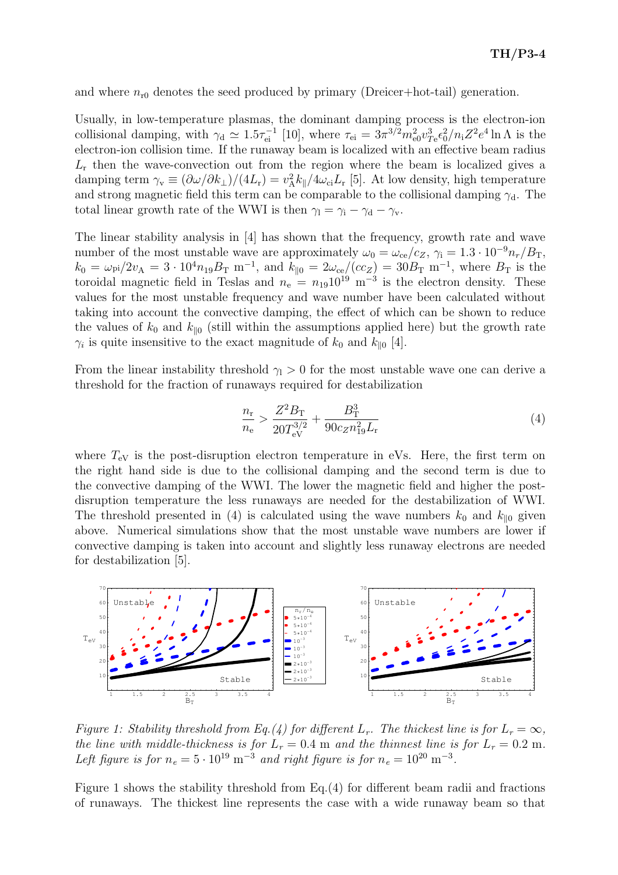and where  $n_{r0}$  denotes the seed produced by primary (Dreicer+hot-tail) generation.

Usually, in low-temperature plasmas, the dominant damping process is the electron-ion collisional damping, with  $\gamma_d \simeq 1.5\tau_{ei}^{-1}$  [10], where  $\tau_{ei} = 3\pi^{3/2} m_{e0}^2 v_{Te}^3 \epsilon_0^2 / n_i Z^2 e^4 \ln \Lambda$  is the electron-ion collision time. If the runaway beam is localized with an effective beam radius  $L<sub>r</sub>$  then the wave-convection out from the region where the beam is localized gives a damping term  $\gamma_v \equiv (\partial \omega/\partial k_\perp)/(4L_r) = v_A^2 k_{\parallel}/4\omega_{ci}L_r$  [5]. At low density, high temperature and strong magnetic field this term can be comparable to the collisional damping  $\gamma_d$ . The total linear growth rate of the WWI is then  $\gamma_1 = \gamma_1 - \gamma_d - \gamma_v$ .

The linear stability analysis in [4] has shown that the frequency, growth rate and wave number of the most unstable wave are approximately  $\omega_0 = \omega_{ce}/c_Z$ ,  $\gamma_i = 1.3 \cdot 10^{-9} n_r / B_T$ ,  $k_0 = \omega_{\text{pi}}/2v_A = 3 \cdot 10^4 n_{19} B_{\text{T}} \text{ m}^{-1}$ , and  $k_{\parallel 0} = 2\omega_{\text{ce}}/(cc_Z) = 30 B_{\text{T}} \text{ m}^{-1}$ , where  $B_{\text{T}}$  is the toroidal magnetic field in Teslas and  $n_e = n_{19}10^{19}$  m<sup>-3</sup> is the electron density. These values for the most unstable frequency and wave number have been calculated without taking into account the convective damping, the effect of which can be shown to reduce the values of  $k_0$  and  $k_{\parallel 0}$  (still within the assumptions applied here) but the growth rate  $\gamma_i$  is quite insensitive to the exact magnitude of  $k_0$  and  $k_{\parallel 0}$  [4].

From the linear instability threshold  $\gamma_1 > 0$  for the most unstable wave one can derive a threshold for the fraction of runaways required for destabilization

$$
\frac{n_{\rm r}}{n_{\rm e}} > \frac{Z^2 B_{\rm T}}{20 T_{\rm eV}^{3/2}} + \frac{B_{\rm T}^3}{90 c_Z n_{19}^2 L_{\rm r}}\tag{4}
$$

where  $T_{\text{eV}}$  is the post-disruption electron temperature in eVs. Here, the first term on the right hand side is due to the collisional damping and the second term is due to the convective damping of the WWI. The lower the magnetic field and higher the postdisruption temperature the less runaways are needed for the destabilization of WWI. The threshold presented in (4) is calculated using the wave numbers  $k_0$  and  $k_{\parallel 0}$  given above. Numerical simulations show that the most unstable wave numbers are lower if convective damping is taken into account and slightly less runaway electrons are needed for destabilization [5].



Figure 1: Stability threshold from Eq.(4) for different  $L_r$ . The thickest line is for  $L_r = \infty$ , the line with middle-thickness is for  $L_r = 0.4$  m and the thinnest line is for  $L_r = 0.2$  m. Left figure is for  $n_e = 5 \cdot 10^{19} \text{ m}^{-3}$  and right figure is for  $n_e = 10^{20} \text{ m}^{-3}$ .

Figure 1 shows the stability threshold from Eq.(4) for different beam radii and fractions of runaways. The thickest line represents the case with a wide runaway beam so that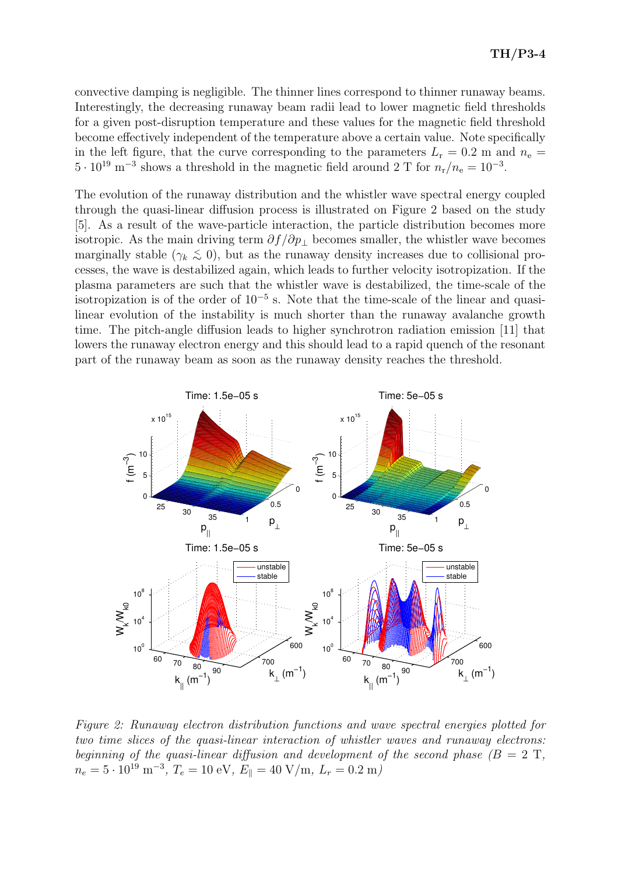convective damping is negligible. The thinner lines correspond to thinner runaway beams. Interestingly, the decreasing runaway beam radii lead to lower magnetic field thresholds for a given post-disruption temperature and these values for the magnetic field threshold become effectively independent of the temperature above a certain value. Note specifically in the left figure, that the curve corresponding to the parameters  $L_r = 0.2$  m and  $n_e =$  $5 \cdot 10^{19}$  m<sup>-3</sup> shows a threshold in the magnetic field around 2 T for  $n_r/n_e = 10^{-3}$ .

The evolution of the runaway distribution and the whistler wave spectral energy coupled through the quasi-linear diffusion process is illustrated on Figure 2 based on the study [5]. As a result of the wave-particle interaction, the particle distribution becomes more isotropic. As the main driving term  $\partial f/\partial p_+$  becomes smaller, the whistler wave becomes marginally stable  $(\gamma_k \lesssim 0)$ , but as the runaway density increases due to collisional processes, the wave is destabilized again, which leads to further velocity isotropization. If the plasma parameters are such that the whistler wave is destabilized, the time-scale of the isotropization is of the order of 10<sup>−</sup><sup>5</sup> s. Note that the time-scale of the linear and quasilinear evolution of the instability is much shorter than the runaway avalanche growth time. The pitch-angle diffusion leads to higher synchrotron radiation emission [11] that lowers the runaway electron energy and this should lead to a rapid quench of the resonant part of the runaway beam as soon as the runaway density reaches the threshold.



Figure 2: Runaway electron distribution functions and wave spectral energies plotted for two time slices of the quasi-linear interaction of whistler waves and runaway electrons: beginning of the quasi-linear diffusion and development of the second phase  $(B = 2 T,$  $n_e = 5 \cdot 10^{19} \text{ m}^{-3}, T_e = 10 \text{ eV}, E_{\parallel} = 40 \text{ V/m}, L_r = 0.2 \text{ m}$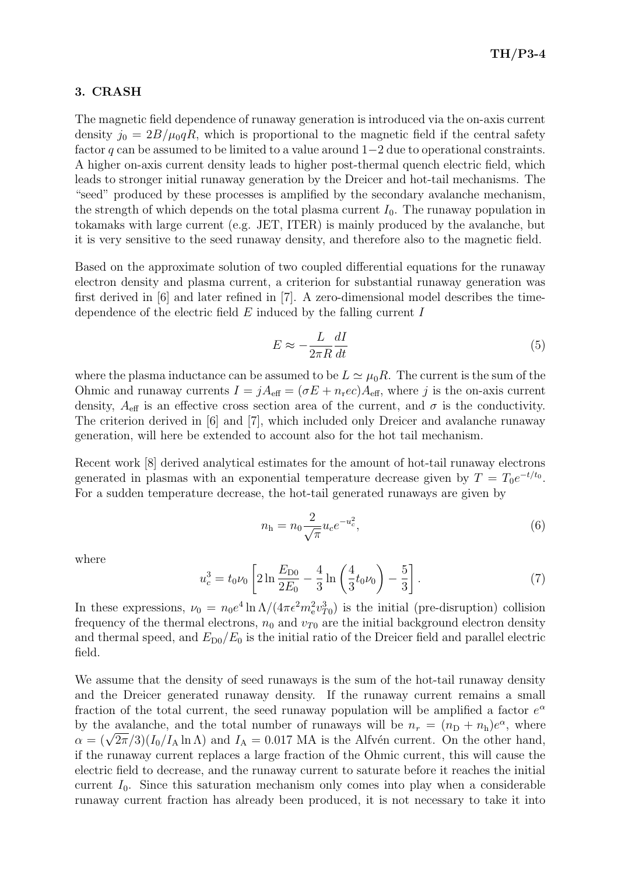#### 3. CRASH

The magnetic field dependence of runaway generation is introduced via the on-axis current density  $j_0 = 2B/\mu_0 qR$ , which is proportional to the magnetic field if the central safety factor q can be assumed to be limited to a value around  $1-2$  due to operational constraints. A higher on-axis current density leads to higher post-thermal quench electric field, which leads to stronger initial runaway generation by the Dreicer and hot-tail mechanisms. The "seed" produced by these processes is amplified by the secondary avalanche mechanism, the strength of which depends on the total plasma current  $I_0$ . The runaway population in tokamaks with large current (e.g. JET, ITER) is mainly produced by the avalanche, but it is very sensitive to the seed runaway density, and therefore also to the magnetic field.

Based on the approximate solution of two coupled differential equations for the runaway electron density and plasma current, a criterion for substantial runaway generation was first derived in [6] and later refined in [7]. A zero-dimensional model describes the timedependence of the electric field  $E$  induced by the falling current  $I$ 

$$
E \approx -\frac{L}{2\pi R} \frac{dI}{dt} \tag{5}
$$

where the plasma inductance can be assumed to be  $L \simeq \mu_0 R$ . The current is the sum of the Ohmic and runaway currents  $I = jA_{\text{eff}} = (\sigma E + n_{\text{r}}ec)A_{\text{eff}}$ , where j is the on-axis current density,  $A_{\text{eff}}$  is an effective cross section area of the current, and  $\sigma$  is the conductivity. The criterion derived in [6] and [7], which included only Dreicer and avalanche runaway generation, will here be extended to account also for the hot tail mechanism.

Recent work [8] derived analytical estimates for the amount of hot-tail runaway electrons generated in plasmas with an exponential temperature decrease given by  $T = T_0 e^{-t/t_0}$ . For a sudden temperature decrease, the hot-tail generated runaways are given by

$$
n_{\rm h} = n_0 \frac{2}{\sqrt{\pi}} u_c e^{-u_c^2},\tag{6}
$$

where

$$
u_c^3 = t_0 \nu_0 \left[ 2 \ln \frac{E_{D0}}{2E_0} - \frac{4}{3} \ln \left( \frac{4}{3} t_0 \nu_0 \right) - \frac{5}{3} \right]. \tag{7}
$$

In these expressions,  $\nu_0 = n_0 e^4 \ln \Lambda / (4\pi \epsilon^2 m_e^2 v_{T0}^3)$  is the initial (pre-disruption) collision frequency of the thermal electrons,  $n_0$  and  $v_{T0}$  are the initial background electron density and thermal speed, and  $E_{D0}/E_0$  is the initial ratio of the Dreicer field and parallel electric field.

We assume that the density of seed runaways is the sum of the hot-tail runaway density and the Dreicer generated runaway density. If the runaway current remains a small fraction of the total current, the seed runaway population will be amplified a factor  $e^{\alpha}$ by the avalanche, and the total number of runaways will be  $n_r = (n_D + n_h)e^{\alpha}$ , where  $\alpha = (\sqrt{2\pi}/3)(I_0/I_A \ln\Lambda)$  and  $I_A = 0.017$  MA is the Alfvén current. On the other hand, if the runaway current replaces a large fraction of the Ohmic current, this will cause the electric field to decrease, and the runaway current to saturate before it reaches the initial current  $I_0$ . Since this saturation mechanism only comes into play when a considerable runaway current fraction has already been produced, it is not necessary to take it into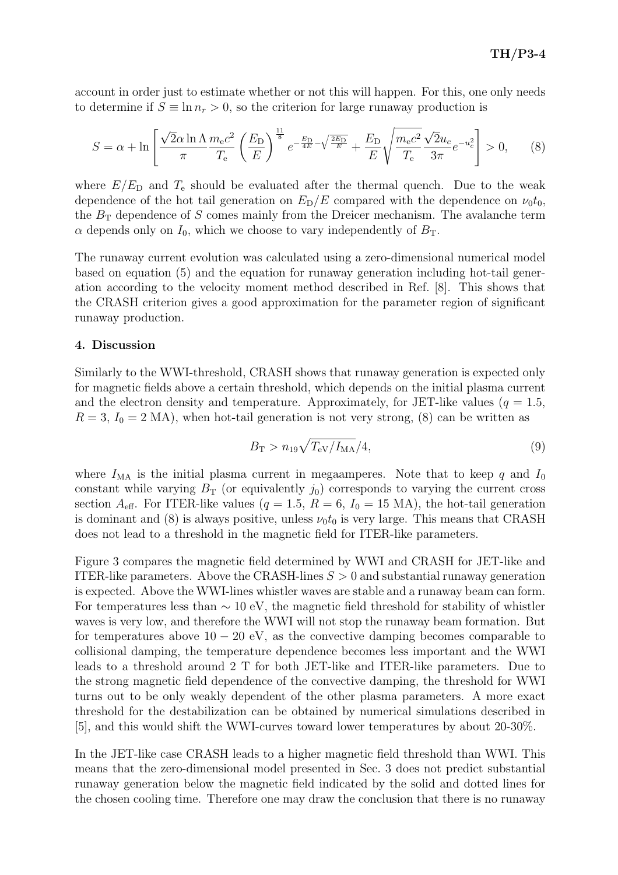account in order just to estimate whether or not this will happen. For this, one only needs to determine if  $S \equiv \ln n_r > 0$ , so the criterion for large runaway production is

$$
S = \alpha + \ln \left[ \frac{\sqrt{2\alpha \ln \Lambda}}{\pi} \frac{m_e c^2}{T_e} \left( \frac{E_D}{E} \right)^{\frac{11}{8}} e^{-\frac{E_D}{4E} - \sqrt{\frac{2E_D}{E}}} + \frac{E_D}{E} \sqrt{\frac{m_e c^2}{T_e}} \frac{\sqrt{2}u_c}{3\pi} e^{-u_c^2} \right] > 0, \quad (8)
$$

where  $E/E<sub>D</sub>$  and  $T<sub>e</sub>$  should be evaluated after the thermal quench. Due to the weak dependence of the hot tail generation on  $E_D/E$  compared with the dependence on  $\nu_0 t_0$ , the  $B_T$  dependence of S comes mainly from the Dreicer mechanism. The avalanche term  $\alpha$  depends only on  $I_0$ , which we choose to vary independently of  $B_T$ .

The runaway current evolution was calculated using a zero-dimensional numerical model based on equation (5) and the equation for runaway generation including hot-tail generation according to the velocity moment method described in Ref. [8]. This shows that the CRASH criterion gives a good approximation for the parameter region of significant runaway production.

#### 4. Discussion

Similarly to the WWI-threshold, CRASH shows that runaway generation is expected only for magnetic fields above a certain threshold, which depends on the initial plasma current and the electron density and temperature. Approximately, for JET-like values ( $q = 1.5$ ,  $R = 3, I_0 = 2 \text{ MA}$ , when hot-tail generation is not very strong, (8) can be written as

$$
B_{\rm T} > n_{19}\sqrt{T_{\rm eV}/I_{\rm MA}}/4,\tag{9}
$$

where  $I_{\text{MA}}$  is the initial plasma current in megaamperes. Note that to keep q and  $I_0$ constant while varying  $B_T$  (or equivalently  $j_0$ ) corresponds to varying the current cross section  $A_{\text{eff}}$ . For ITER-like values ( $q = 1.5$ ,  $R = 6$ ,  $I_0 = 15$  MA), the hot-tail generation is dominant and (8) is always positive, unless  $\nu_0 t_0$  is very large. This means that CRASH does not lead to a threshold in the magnetic field for ITER-like parameters.

Figure 3 compares the magnetic field determined by WWI and CRASH for JET-like and ITER-like parameters. Above the CRASH-lines  $S > 0$  and substantial runaway generation is expected. Above the WWI-lines whistler waves are stable and a runaway beam can form. For temperatures less than  $\sim 10$  eV, the magnetic field threshold for stability of whistler waves is very low, and therefore the WWI will not stop the runaway beam formation. But for temperatures above  $10 - 20$  eV, as the convective damping becomes comparable to collisional damping, the temperature dependence becomes less important and the WWI leads to a threshold around 2 T for both JET-like and ITER-like parameters. Due to the strong magnetic field dependence of the convective damping, the threshold for WWI turns out to be only weakly dependent of the other plasma parameters. A more exact threshold for the destabilization can be obtained by numerical simulations described in [5], and this would shift the WWI-curves toward lower temperatures by about 20-30%.

In the JET-like case CRASH leads to a higher magnetic field threshold than WWI. This means that the zero-dimensional model presented in Sec. 3 does not predict substantial runaway generation below the magnetic field indicated by the solid and dotted lines for the chosen cooling time. Therefore one may draw the conclusion that there is no runaway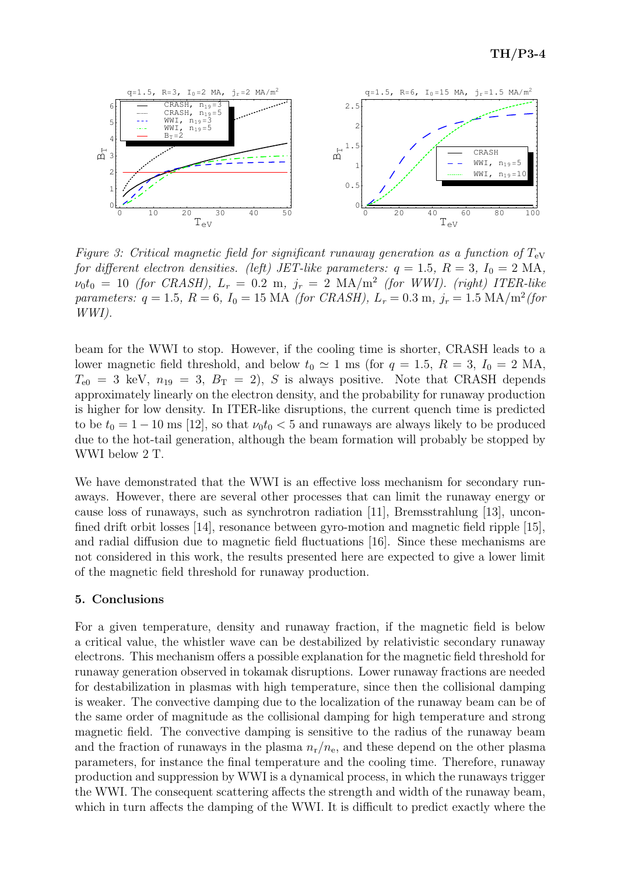

Figure 3: Critical magnetic field for significant runaway generation as a function of  $T_{eV}$ for different electron densities. (left) JET-like parameters:  $q = 1.5, R = 3, I_0 = 2 \text{ MA}$ ,  $\nu_0 t_0 = 10$  (for CRASH),  $L_r = 0.2$  m,  $j_r = 2$  MA/m<sup>2</sup> (for WWI). (right) ITER-like parameters:  $q = 1.5$ ,  $R = 6$ ,  $I_0 = 15$  MA (for CRASH),  $L_r = 0.3$  m,  $j_r = 1.5$  MA/m<sup>2</sup>(for WWI).

beam for the WWI to stop. However, if the cooling time is shorter, CRASH leads to a lower magnetic field threshold, and below  $t_0 \simeq 1$  ms (for  $q = 1.5, R = 3, I_0 = 2$  MA,  $T_{e0} = 3$  keV,  $n_{19} = 3$ ,  $B_T = 2$ ), S is always positive. Note that CRASH depends approximately linearly on the electron density, and the probability for runaway production is higher for low density. In ITER-like disruptions, the current quench time is predicted to be  $t_0 = 1 - 10$  ms [12], so that  $\nu_0 t_0 < 5$  and runaways are always likely to be produced due to the hot-tail generation, although the beam formation will probably be stopped by WWI below 2 T.

We have demonstrated that the WWI is an effective loss mechanism for secondary runaways. However, there are several other processes that can limit the runaway energy or cause loss of runaways, such as synchrotron radiation [11], Bremsstrahlung [13], unconfined drift orbit losses [14], resonance between gyro-motion and magnetic field ripple [15], and radial diffusion due to magnetic field fluctuations [16]. Since these mechanisms are not considered in this work, the results presented here are expected to give a lower limit of the magnetic field threshold for runaway production.

## 5. Conclusions

For a given temperature, density and runaway fraction, if the magnetic field is below a critical value, the whistler wave can be destabilized by relativistic secondary runaway electrons. This mechanism offers a possible explanation for the magnetic field threshold for runaway generation observed in tokamak disruptions. Lower runaway fractions are needed for destabilization in plasmas with high temperature, since then the collisional damping is weaker. The convective damping due to the localization of the runaway beam can be of the same order of magnitude as the collisional damping for high temperature and strong magnetic field. The convective damping is sensitive to the radius of the runaway beam and the fraction of runaways in the plasma  $n_r/n_e$ , and these depend on the other plasma parameters, for instance the final temperature and the cooling time. Therefore, runaway production and suppression by WWI is a dynamical process, in which the runaways trigger the WWI. The consequent scattering affects the strength and width of the runaway beam, which in turn affects the damping of the WWI. It is difficult to predict exactly where the